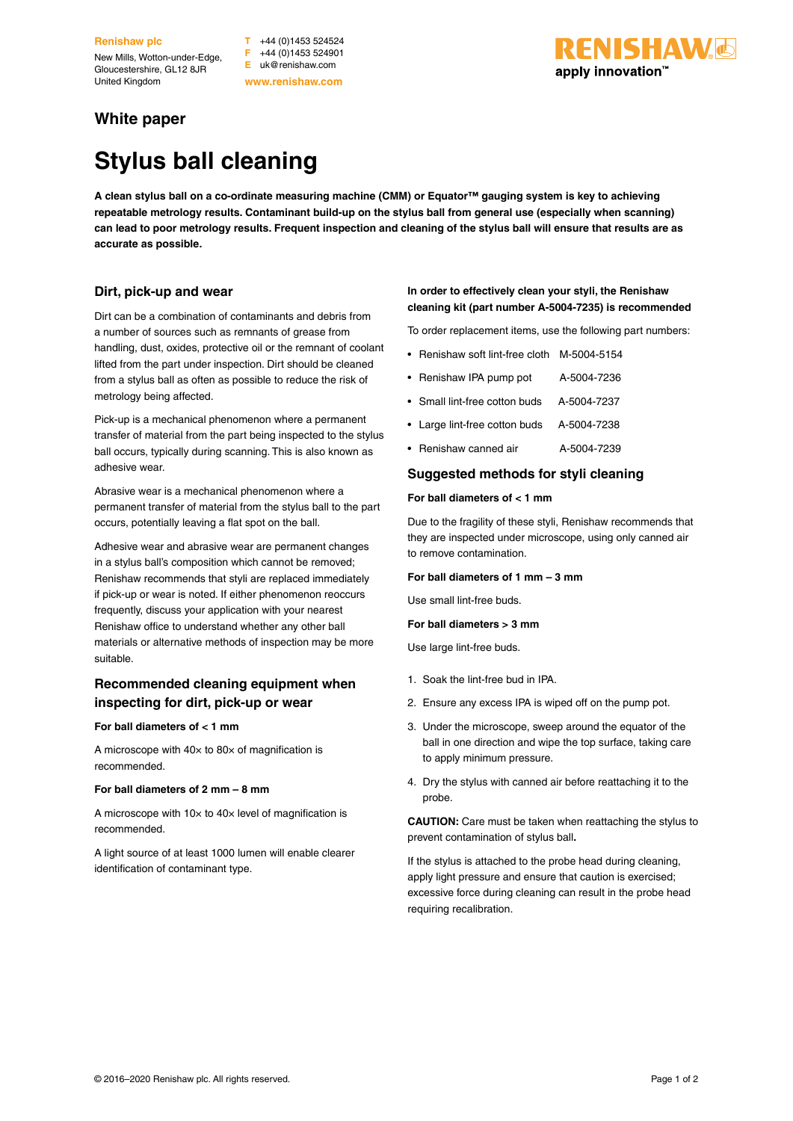**Renishaw plc**

New Mills, Wotton-under-Edge, Gloucestershire, GL12 8JR United Kingdom

**T** +44 (0)1453 524524 **F** +44 (0)1453 524901 **E** uk@renishaw.com **www.renishaw.com**

## **VISHAW**& apply innovation™

### **White paper**

# **Stylus ball cleaning**

**A clean stylus ball on a co-ordinate measuring machine (CMM) or Equator™ gauging system is key to achieving repeatable metrology results. Contaminant build-up on the stylus ball from general use (especially when scanning) can lead to poor metrology results. Frequent inspection and cleaning of the stylus ball will ensure that results are as accurate as possible.**

#### **Dirt, pick-up and wear**

Dirt can be a combination of contaminants and debris from a number of sources such as remnants of grease from handling, dust, oxides, protective oil or the remnant of coolant lifted from the part under inspection. Dirt should be cleaned from a stylus ball as often as possible to reduce the risk of metrology being affected.

Pick-up is a mechanical phenomenon where a permanent transfer of material from the part being inspected to the stylus ball occurs, typically during scanning. This is also known as adhesive wear.

Abrasive wear is a mechanical phenomenon where a permanent transfer of material from the stylus ball to the part occurs, potentially leaving a flat spot on the ball.

Adhesive wear and abrasive wear are permanent changes in a stylus ball's composition which cannot be removed; Renishaw recommends that styli are replaced immediately if pick-up or wear is noted. If either phenomenon reoccurs frequently, discuss your application with your nearest Renishaw office to understand whether any other ball materials or alternative methods of inspection may be more suitable.

#### **Recommended cleaning equipment when inspecting for dirt, pick-up or wear**

#### **For ball diameters of < 1 mm**

A microscope with  $40\times$  to  $80\times$  of magnification is recommended.

#### **For ball diameters of 2 mm – 8 mm**

A microscope with  $10\times$  to  $40\times$  level of magnification is recommended.

A light source of at least 1000 lumen will enable clearer identification of contaminant type.

#### **In order to effectively clean your styli, the Renishaw cleaning kit (part number A-5004-7235) is recommended**

To order replacement items, use the following part numbers:

- Renishaw soft lint-free cloth M-5004-5154
- Renishaw IPA pump pot A-5004-7236
- Small lint-free cotton buds A-5004-7237
- Large lint-free cotton buds A-5004-7238
- Renishaw canned air <br>A-5004-7239

#### **Suggested methods for styli cleaning**

#### **For ball diameters of < 1 mm**

Due to the fragility of these styli, Renishaw recommends that they are inspected under microscope, using only canned air to remove contamination.

#### **For ball diameters of 1 mm – 3 mm**

Use small lint-free buds.

#### **For ball diameters > 3 mm**

Use large lint-free buds.

- 1. Soak the lint-free bud in IPA.
- 2. Ensure any excess IPA is wiped off on the pump pot.
- 3. Under the microscope, sweep around the equator of the ball in one direction and wipe the top surface, taking care to apply minimum pressure.
- 4. Dry the stylus with canned air before reattaching it to the probe.

**CAUTION:** Care must be taken when reattaching the stylus to prevent contamination of stylus ball**.**

If the stylus is attached to the probe head during cleaning, apply light pressure and ensure that caution is exercised; excessive force during cleaning can result in the probe head requiring recalibration.